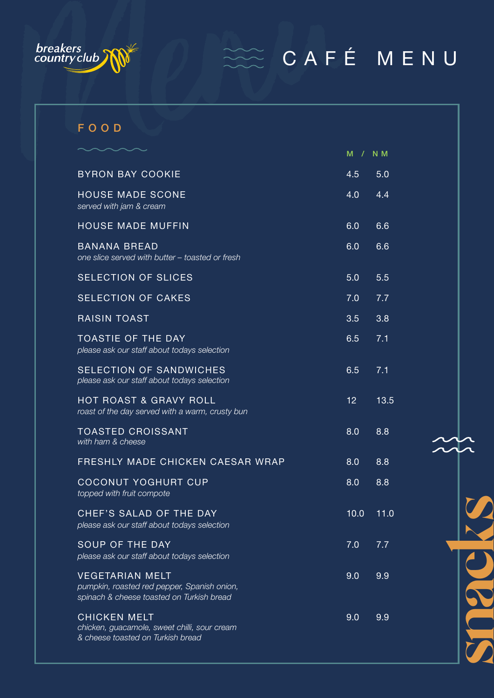

## $\widetilde{\mathbb{C}}$  CAFÉ MENU

| breakers<br>country club<br>CAFÉ MENU                                                                              |                 |      |
|--------------------------------------------------------------------------------------------------------------------|-----------------|------|
|                                                                                                                    |                 |      |
|                                                                                                                    |                 |      |
| FOOD                                                                                                               |                 |      |
|                                                                                                                    | M / N M         |      |
| <b>BYRON BAY COOKIE</b>                                                                                            | 4.5             | 5.0  |
| <b>HOUSE MADE SCONE</b><br>served with jam & cream                                                                 | 4.0             | 4.4  |
| <b>HOUSE MADE MUFFIN</b>                                                                                           | 6.0             | 6.6  |
| <b>BANANA BREAD</b><br>one slice served with butter - toasted or fresh                                             | 6.0             | 6.6  |
| <b>SELECTION OF SLICES</b>                                                                                         | 5.0             | 5.5  |
| <b>SELECTION OF CAKES</b>                                                                                          | 7.0             | 7.7  |
| <b>RAISIN TOAST</b>                                                                                                | 3.5             | 3.8  |
| <b>TOASTIE OF THE DAY</b><br>please ask our staff about todays selection                                           | 6.5             | 7.1  |
| SELECTION OF SANDWICHES<br>please ask our staff about todays selection                                             | 6.5             | 7.1  |
| <b>HOT ROAST &amp; GRAVY ROLL</b><br>roast of the day served with a warm, crusty bun                               | 12 <sup>°</sup> | 13.5 |
| <b>TOASTED CROISSANT</b><br>with ham & cheese                                                                      | 8.0             | 8.8  |
| FRESHLY MADE CHICKEN CAESAR WRAP                                                                                   | 8.0             | 8.8  |
| <b>COCONUT YOGHURT CUP</b><br>topped with fruit compote                                                            | 8.0             | 8.8  |
| CHEF'S SALAD OF THE DAY<br>please ask our staff about todays selection                                             | 10.0            | 11.0 |
| SOUP OF THE DAY<br>please ask our staff about todays selection                                                     | 7.0             | 7.7  |
| <b>VEGETARIAN MELT</b><br>pumpkin, roasted red pepper, Spanish onion,<br>spinach & cheese toasted on Turkish bread | 9.0             | 9.9  |
| <b>CHICKEN MELT</b><br>chicken, guacamole, sweet chilli, sour cream                                                | 9.0             | 9.9  |